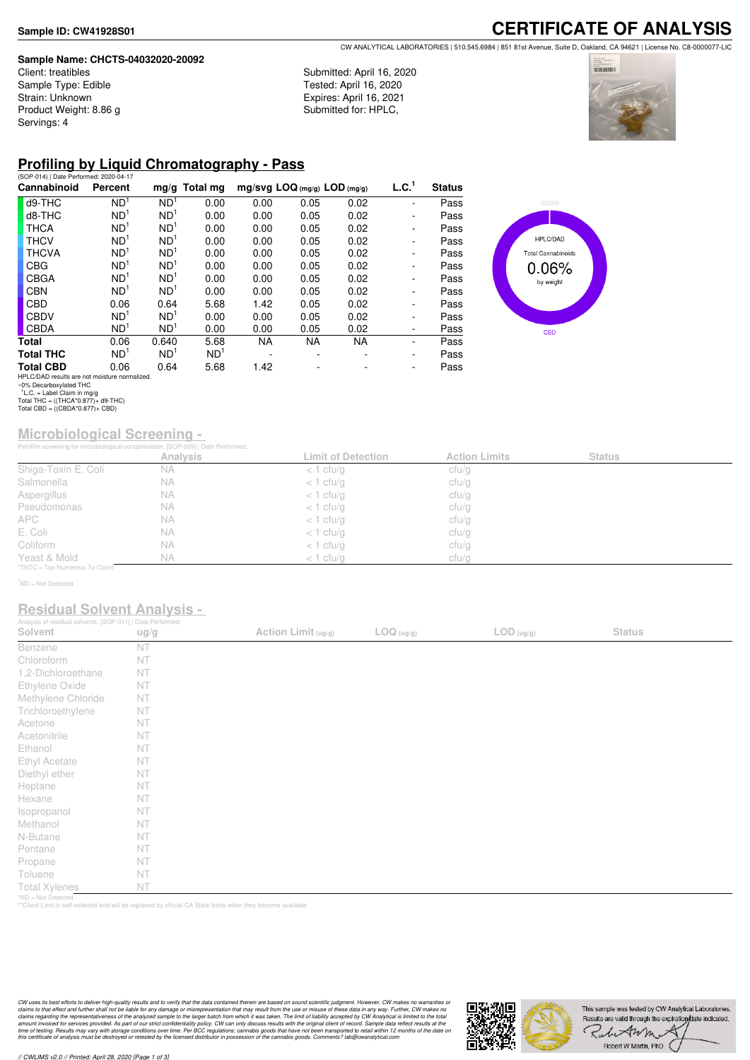### **Sample Name: CHCTS-04032020-20092**

Client: treatibles Sample Type: Edible Strain: Unknown Product Weight: 8.86 g Servings: 4

## Submitted: April 16, 2020 Tested: April 16, 2020 Expires: April 16, 2021

Submitted for: HPLC,



**THE COLOR** 

# **Profiling by Liquid Chromatography - Pass**

| (SOP-014)   Date Performed: 2020-04-17        |                 |                 |                 |                              |      |           |                   |               |
|-----------------------------------------------|-----------------|-----------------|-----------------|------------------------------|------|-----------|-------------------|---------------|
| Cannabinoid                                   | Percent         |                 | $mg/g$ Total mg | mg/svg LOQ (mg/g) LOD (mg/g) |      |           | L.C. <sup>1</sup> | <b>Status</b> |
| d9-THC                                        | ND <sup>1</sup> | ND <sup>1</sup> | 0.00            | 0.00                         | 0.05 | 0.02      |                   | Pass          |
| d8-THC                                        | ND <sup>1</sup> | ND <sup>1</sup> | 0.00            | 0.00                         | 0.05 | 0.02      |                   | Pass          |
| <b>THCA</b>                                   | ND <sup>1</sup> | ND <sup>1</sup> | 0.00            | 0.00                         | 0.05 | 0.02      | -                 | Pass          |
| <b>THCV</b>                                   | ND <sup>1</sup> | ND <sup>1</sup> | 0.00            | 0.00                         | 0.05 | 0.02      | -                 | Pass          |
| <b>THCVA</b>                                  | ND <sup>1</sup> | ND <sup>1</sup> | 0.00            | 0.00                         | 0.05 | 0.02      | -                 | Pass          |
| <b>CBG</b>                                    | ND <sup>1</sup> | ND <sup>1</sup> | 0.00            | 0.00                         | 0.05 | 0.02      | -                 | Pass          |
| <b>CBGA</b>                                   | ND <sup>1</sup> | ND <sup>1</sup> | 0.00            | 0.00                         | 0.05 | 0.02      | -                 | Pass          |
| <b>CBN</b>                                    | ND <sup>1</sup> | ND <sup>1</sup> | 0.00            | 0.00                         | 0.05 | 0.02      | -                 | Pass          |
| <b>CBD</b>                                    | 0.06            | 0.64            | 5.68            | 1.42                         | 0.05 | 0.02      | -                 | Pass          |
| <b>CBDV</b>                                   | ND <sup>1</sup> | ND <sup>1</sup> | 0.00            | 0.00                         | 0.05 | 0.02      | -                 | Pass          |
| <b>CBDA</b>                                   | ND <sup>1</sup> | ND <sup>1</sup> | 0.00            | 0.00                         | 0.05 | 0.02      | -                 | Pass          |
| Total                                         | 0.06            | 0.640           | 5.68            | NA.                          | NA.  | <b>NA</b> |                   | Pass          |
| <b>Total THC</b>                              | ND <sup>1</sup> | ND <sup>1</sup> | ND <sup>1</sup> |                              |      |           | -                 | Pass          |
| <b>Total CBD</b>                              | 0.06            | 0.64            | 5.68            | 1.42                         |      |           | ٠                 | Pass          |
| HPLC/DAD results are not moisture normalized. |                 |                 |                 |                              |      |           |                   |               |

HPLC/DAD **Total Cannabinoids**  $0.06%$ by weight **CBD** 

HPLC/DAD results are not moisture normalized. ~0% Decarboxylated THC 1 L.C. = Label Claim in mg/g Total THC = ((THCA\*0.877)+ d9-THC) Total CBD = ((CBDA\*0.877)+ CBD)

# **Microbiological Screening -**

|                               | Petriflim screening for microbiological contamination. [SOP-009]   Date Performed: |                           |                      |               |  |
|-------------------------------|------------------------------------------------------------------------------------|---------------------------|----------------------|---------------|--|
|                               | Analysis                                                                           | <b>Limit of Detection</b> | <b>Action Limits</b> | <b>Status</b> |  |
| Shiga-Toxin E. Coli           | <b>NA</b>                                                                          | $<$ 1 cfu/g               | cfu/g                |               |  |
| Salmonella                    | NА                                                                                 | $<$ 1 cfu/g               | cfu/g                |               |  |
| Aspergillus                   | NА                                                                                 | $<$ 1 cfu/g               | cfu/g                |               |  |
| Pseudomonas                   | <b>NA</b>                                                                          | $<$ 1 cfu/g               | cfu/g                |               |  |
| <b>APC</b>                    | NA.                                                                                | $<$ 1 cfu/g               | cfu/g                |               |  |
| E. Coli                       | NА                                                                                 | $<$ 1 cfu/g               | cfu/g                |               |  |
| Coliform                      | <b>NA</b>                                                                          | $<$ 1 cfu/g               | cfu/g                |               |  |
| Yeast & Mold                  | <b>NA</b>                                                                          | $<$ 1 cfu/q               | cfu/g                |               |  |
| *TNTC = Too Numerous To Count |                                                                                    |                           |                      |               |  |

<sup>1</sup>ND = Not Detected

## **Residual Solvent Analysis -**

| Analysis of residual solvents. [SOP-011]   Date Performed: |      |                       |            |                                          |               |  |
|------------------------------------------------------------|------|-----------------------|------------|------------------------------------------|---------------|--|
| Solvent                                                    | ug/g | Action Limit $(ug/g)$ | LOG (ug/g) | $\mathsf{LOD}\left(\mathsf{ug/g}\right)$ | <b>Status</b> |  |
| Benzene                                                    | NT   |                       |            |                                          |               |  |
| Chloroform                                                 | NT   |                       |            |                                          |               |  |
| 1,2-Dichloroethane                                         | NT   |                       |            |                                          |               |  |
| Ethylene Oxide                                             | NT   |                       |            |                                          |               |  |
| Methylene Chloride                                         | NT   |                       |            |                                          |               |  |
| Trichloroethylene                                          | NT   |                       |            |                                          |               |  |
| Acetone                                                    | NT   |                       |            |                                          |               |  |
| Acetonitrile                                               | NT   |                       |            |                                          |               |  |
| Ethanol                                                    | NT   |                       |            |                                          |               |  |
| Ethyl Acetate                                              | NT   |                       |            |                                          |               |  |
| Diethyl ether                                              | NT   |                       |            |                                          |               |  |
| Heptane                                                    | NT   |                       |            |                                          |               |  |
| Hexane                                                     | NT   |                       |            |                                          |               |  |
| Isopropanol                                                | NT   |                       |            |                                          |               |  |
| Methanol                                                   | NT   |                       |            |                                          |               |  |
| N-Butane                                                   | NT   |                       |            |                                          |               |  |
| Pentane                                                    | NT   |                       |            |                                          |               |  |
| Propane                                                    | NT   |                       |            |                                          |               |  |
| Toluene                                                    | NT   |                       |            |                                          |               |  |
| <b>Total Xylenes</b>                                       | NT   |                       |            |                                          |               |  |
| *ND = Not Detected                                         |      |                       |            |                                          |               |  |

\*ND = Not Detected \*\*Client Limit is self-selected and will be replaced by official CA State limits when they become available

CW uses its best efforts to deliver high-quality results and to verify that the data contained therein are based on sound scientific judgment. However, CW makes no warranties or<br>claims to that effect and turther shall not

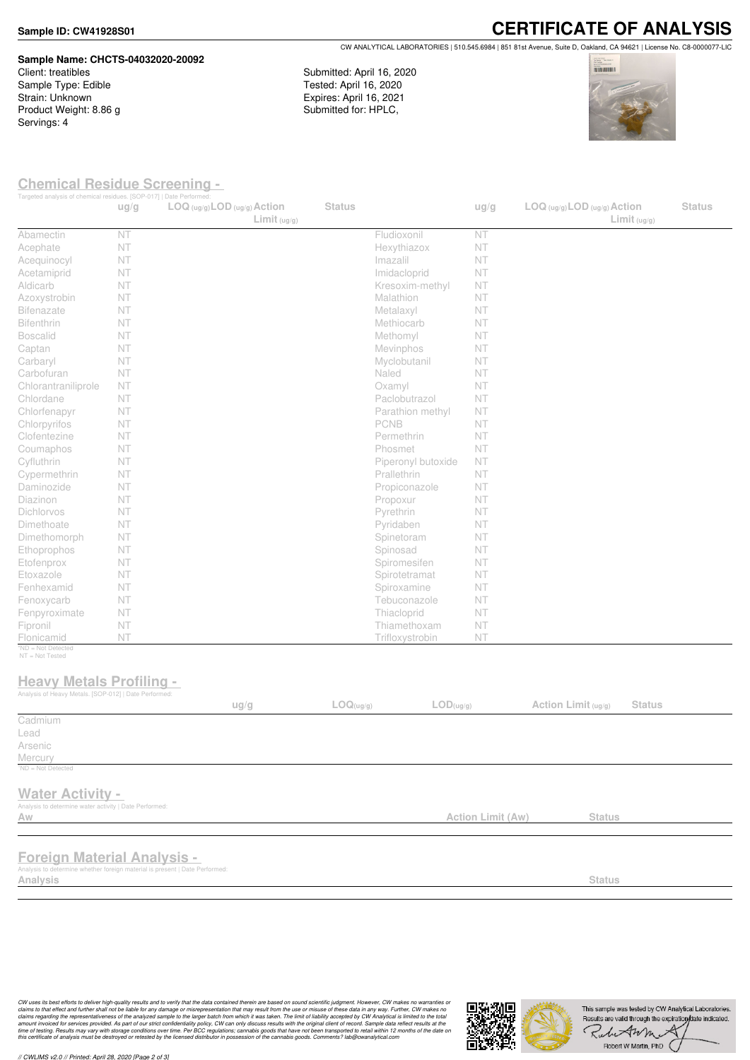### **Sample ID: CW41928S01**

# **Sample Name: CHCTS-04032020-20092**

Client: treatibles Sample Type: Edible Strain: Unknown Product Weight: 8.86 g Servings: 4

**CERTIFICATE OF ANALYSIS** CW ANALYTICAL LABORATORIES | 510.545.6984 | 851 81st Avenue, Suite D, Oakland, CA 94621 | License No. C8-0000077-LIC

Submitted: April 16, 2020 Tested: April 16, 2020 Expires: April 16, 2021 Submitted for: HPLC,



## **Chemical Residue Screening -**

| Targeted analysis of chemical residues. [SOP-017]   Date Performed:                                                           | ug/g | $LOG (ug/g)$ <i>LOD</i> $(ug/g)$ <i>Action</i> | Limit <sub>(ug/g)</sub> | <b>Status</b> |                    | ug/g              | $LOG (ug/g)$ LOD $(ug/g)$ Action | Limit <sub>(ug/g)</sub> | <b>Status</b> |
|-------------------------------------------------------------------------------------------------------------------------------|------|------------------------------------------------|-------------------------|---------------|--------------------|-------------------|----------------------------------|-------------------------|---------------|
| Abamectin                                                                                                                     | NT   |                                                |                         |               | Fludioxonil        | NT                |                                  |                         |               |
| Acephate                                                                                                                      | NT   |                                                |                         |               | Hexythiazox        | NT                |                                  |                         |               |
| Acequinocyl                                                                                                                   | NT   |                                                |                         |               | Imazalil           | NT                |                                  |                         |               |
| Acetamiprid                                                                                                                   | NT   |                                                |                         |               | Imidacloprid       | NT                |                                  |                         |               |
| Aldicarb                                                                                                                      | NT   |                                                |                         |               | Kresoxim-methyl    | <b>NT</b>         |                                  |                         |               |
| Azoxystrobin                                                                                                                  | NT   |                                                |                         |               | Malathion          | NT                |                                  |                         |               |
| <b>Bifenazate</b>                                                                                                             | NT   |                                                |                         |               | Metalaxyl          | NT                |                                  |                         |               |
| Bifenthrin                                                                                                                    | NT   |                                                |                         |               | Methiocarb         | NT                |                                  |                         |               |
| <b>Boscalid</b>                                                                                                               | NT   |                                                |                         |               | Methomyl           | NT                |                                  |                         |               |
| Captan                                                                                                                        | NT   |                                                |                         |               | Mevinphos          | NT                |                                  |                         |               |
| Carbaryl                                                                                                                      | NT   |                                                |                         |               | Myclobutanil       | NT                |                                  |                         |               |
| Carbofuran                                                                                                                    | NT   |                                                |                         |               | Naled              | NT                |                                  |                         |               |
| Chlorantraniliprole                                                                                                           | NT   |                                                |                         |               | Oxamyl             | NT                |                                  |                         |               |
| Chlordane                                                                                                                     | NT   |                                                |                         |               | Paclobutrazol      | NT                |                                  |                         |               |
| Chlorfenapyr                                                                                                                  | NT   |                                                |                         |               | Parathion methyl   | <b>NT</b>         |                                  |                         |               |
| Chlorpyrifos                                                                                                                  | NT   |                                                |                         |               | PCNB               | NT                |                                  |                         |               |
| Clofentezine                                                                                                                  | NT   |                                                |                         |               | Permethrin         | NT                |                                  |                         |               |
| Coumaphos                                                                                                                     | NT   |                                                |                         |               | Phosmet            | NT                |                                  |                         |               |
| Cyfluthrin                                                                                                                    | NT   |                                                |                         |               | Piperonyl butoxide | NT                |                                  |                         |               |
| Cypermethrin                                                                                                                  | NT   |                                                |                         |               | Prallethrin        | NT                |                                  |                         |               |
| Daminozide                                                                                                                    | NT   |                                                |                         |               | Propiconazole      | NT                |                                  |                         |               |
| Diazinon                                                                                                                      | NT   |                                                |                         |               | Propoxur           | NT                |                                  |                         |               |
| Dichlorvos                                                                                                                    | NT   |                                                |                         |               |                    |                   |                                  |                         |               |
|                                                                                                                               | NT   |                                                |                         |               | Pyrethrin          | NT                |                                  |                         |               |
| Dimethoate                                                                                                                    |      |                                                |                         |               | Pyridaben          | NT                |                                  |                         |               |
| Dimethomorph                                                                                                                  | NT   |                                                |                         |               | Spinetoram         | NT                |                                  |                         |               |
| Ethoprophos                                                                                                                   | NT   |                                                |                         |               | Spinosad           | NT                |                                  |                         |               |
| Etofenprox                                                                                                                    | NT   |                                                |                         |               | Spiromesifen       | NT                |                                  |                         |               |
| Etoxazole                                                                                                                     | NT   |                                                |                         |               | Spirotetramat      | NT                |                                  |                         |               |
| Fenhexamid                                                                                                                    | NT   |                                                |                         |               | Spiroxamine        | NT                |                                  |                         |               |
| Fenoxycarb                                                                                                                    | NT   |                                                |                         |               | Tebuconazole       | NT                |                                  |                         |               |
| Fenpyroximate                                                                                                                 | NT   |                                                |                         |               | Thiacloprid        | NT                |                                  |                         |               |
| Fipronil                                                                                                                      | NT   |                                                |                         |               | Thiamethoxam       | NT                |                                  |                         |               |
| Flonicamid<br>*ND = Not Detected                                                                                              | NT   |                                                |                         |               | Trifloxystrobin    | NT                |                                  |                         |               |
| NT = Not Tested<br><b>Heavy Metals Profiling -</b><br>Analysis of Heavy Metals. [SOP-012]   Date Performed:                   |      | ug/g                                           |                         | LOG(ug/g)     | LOD(ug/g)          |                   | Action Limit (ug/g)              | <b>Status</b>           |               |
| Cadmium                                                                                                                       |      |                                                |                         |               |                    |                   |                                  |                         |               |
| Lead                                                                                                                          |      |                                                |                         |               |                    |                   |                                  |                         |               |
| Arsenic                                                                                                                       |      |                                                |                         |               |                    |                   |                                  |                         |               |
| Mercury                                                                                                                       |      |                                                |                         |               |                    |                   |                                  |                         |               |
| <sup>1</sup> ND = Not Detected                                                                                                |      |                                                |                         |               |                    |                   |                                  |                         |               |
| <b>Water Activity -</b><br>Analysis to determine water activity   Date Performed:<br>Aw                                       |      |                                                |                         |               |                    | Action Limit (Aw) | <b>Status</b>                    |                         |               |
|                                                                                                                               |      |                                                |                         |               |                    |                   |                                  |                         |               |
| <b>Foreign Material Analysis -</b><br>Analysis to determine whether foreign material is present   Date Performed:<br>Analysis |      |                                                |                         |               |                    |                   | <b>Status</b>                    |                         |               |
|                                                                                                                               |      |                                                |                         |               |                    |                   |                                  |                         |               |

CW uses its best efforts to deliver high-quality results and to verify that the data contained therein are based on sound scientific judgment. However, CW makes no warranties or<br>claims to that effect and turther shall not